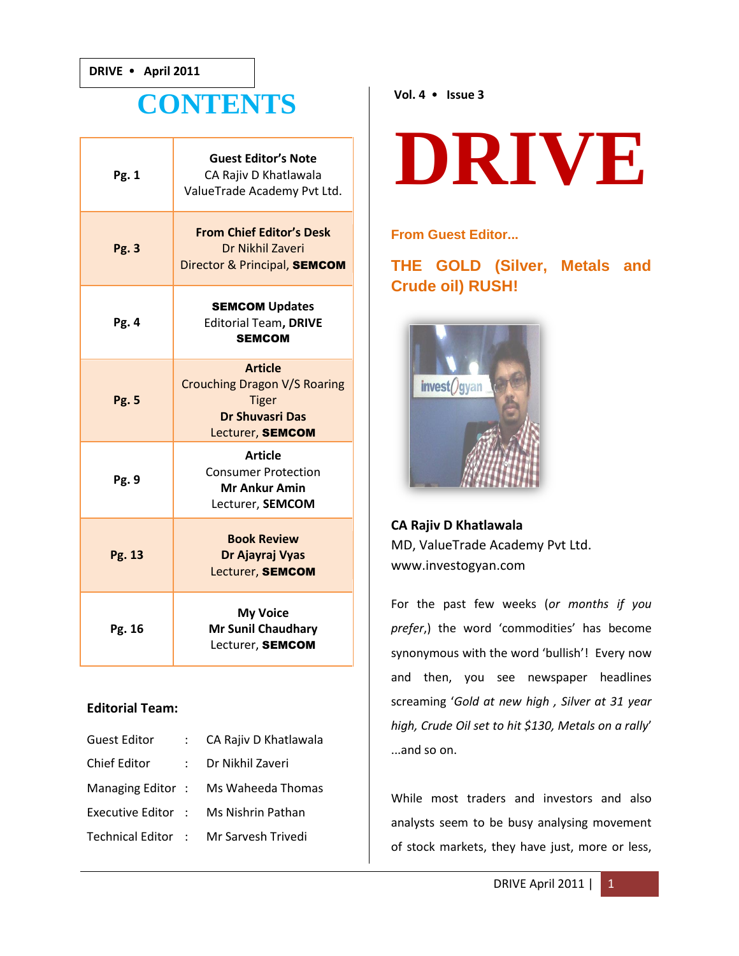## **CONTENTS**

| Pg. 1        | <b>Guest Editor's Note</b><br>CA Rajiv D Khatlawala<br>ValueTrade Academy Pvt Ltd.                                  |
|--------------|---------------------------------------------------------------------------------------------------------------------|
| <b>Pg. 3</b> | <b>From Chief Editor's Desk</b><br>Dr Nikhil Zaveri<br>Director & Principal, SEMCOM                                 |
| Pg. 4        | <b>SEMCOM Updates</b><br><b>Editorial Team, DRIVE</b><br><b>SEMCOM</b>                                              |
| <b>Pg. 5</b> | <b>Article</b><br><b>Crouching Dragon V/S Roaring</b><br><b>Tiger</b><br><b>Dr Shuvasri Das</b><br>Lecturer, SEMCOM |
| Pg. 9        | <b>Article</b><br><b>Consumer Protection</b><br><b>Mr Ankur Amin</b><br>Lecturer, SEMCOM                            |
| Pg. 13       | <b>Book Review</b><br>Dr Ajayraj Vyas<br>Lecturer, SEMCOM                                                           |
| Pg. 16       | <b>My Voice</b><br><b>Mr Sunil Chaudhary</b><br>Lecturer, SEMCOM                                                    |

#### **Editorial Team:**

| <b>Guest Editor</b> | : CA Rajiv D Khatlawala               |
|---------------------|---------------------------------------|
| Chief Editor        | Dr Nikhil Zaveri                      |
|                     | Managing Editor: Ms Waheeda Thomas    |
| Executive Editor :  | Ms Nishrin Pathan                     |
|                     | Technical Editor : Mr Sarvesh Trivedi |

#### **Vol. 4 Issue 3**

# **DRIVE**

#### **From Guest Editor...**

**THE GOLD (Silver, Metals and Crude oil) RUSH!** 



### **CA Rajiv D Khatlawala** MD, ValueTrade Academy Pvt Ltd. www.investogyan.com

For the past few weeks (*or months if you prefer*,) the word 'commodities' has become synonymous with the word 'bullish'! Every now and then, you see newspaper headlines screaming '*Gold at new high , Silver at 31 year high, Crude Oil set to hit \$130, Metals on a rally*' ...and so on.

While most traders and investors and also analysts seem to be busy analysing movement of stock markets, they have just, more or less,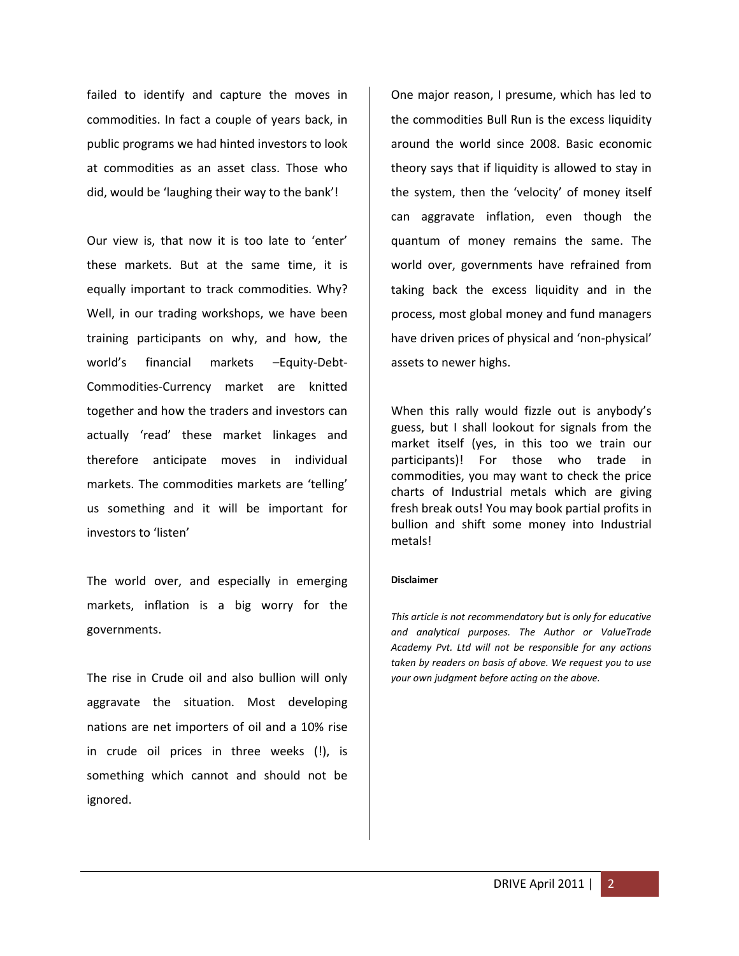failed to identify and capture the moves in commodities. In fact a couple of years back, in public programs we had hinted investors to look at commodities as an asset class. Those who did, would be 'laughing their way to the bank'!

Our view is, that now it is too late to 'enter' these markets. But at the same time, it is equally important to track commodities. Why? Well, in our trading workshops, we have been training participants on why, and how, the world's financial markets –Equity-Debt-Commodities-Currency market are knitted together and how the traders and investors can actually 'read' these market linkages and therefore anticipate moves in individual markets. The commodities markets are 'telling' us something and it will be important for investors to 'listen'

The world over, and especially in emerging markets, inflation is a big worry for the governments.

The rise in Crude oil and also bullion will only aggravate the situation. Most developing nations are net importers of oil and a 10% rise in crude oil prices in three weeks (!), is something which cannot and should not be ignored.

One major reason, I presume, which has led to the commodities Bull Run is the excess liquidity around the world since 2008. Basic economic theory says that if liquidity is allowed to stay in the system, then the 'velocity' of money itself can aggravate inflation, even though the quantum of money remains the same. The world over, governments have refrained from taking back the excess liquidity and in the process, most global money and fund managers have driven prices of physical and 'non-physical' assets to newer highs.

When this rally would fizzle out is anybody's guess, but I shall lookout for signals from the market itself (yes, in this too we train our participants)! For those who trade in commodities, you may want to check the price charts of Industrial metals which are giving fresh break outs! You may book partial profits in bullion and shift some money into Industrial metals!

#### **Disclaimer**

*This article is not recommendatory but is only for educative and analytical purposes. The Author or ValueTrade Academy Pvt. Ltd will not be responsible for any actions taken by readers on basis of above. We request you to use your own judgment before acting on the above.*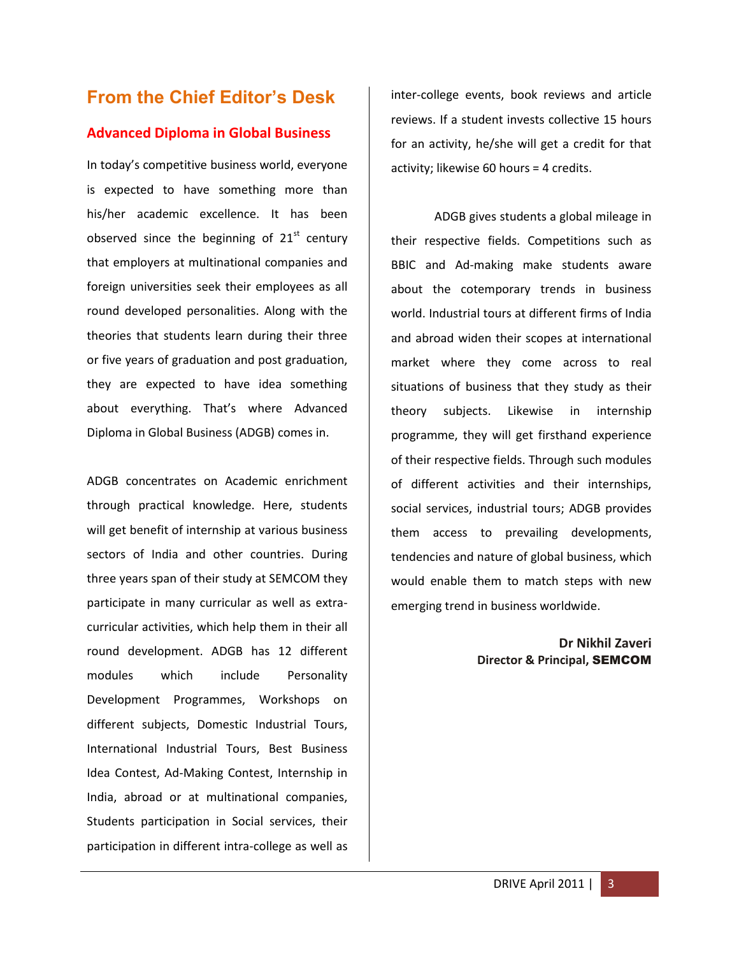## **From the Chief Editor's Desk**

#### **Advanced Diploma in Global Business**

In today's competitive business world, everyone is expected to have something more than his/her academic excellence. It has been observed since the beginning of  $21<sup>st</sup>$  century that employers at multinational companies and foreign universities seek their employees as all round developed personalities. Along with the theories that students learn during their three or five years of graduation and post graduation, they are expected to have idea something about everything. That's where Advanced Diploma in Global Business (ADGB) comes in.

ADGB concentrates on Academic enrichment through practical knowledge. Here, students will get benefit of internship at various business sectors of India and other countries. During three years span of their study at SEMCOM they participate in many curricular as well as extracurricular activities, which help them in their all round development. ADGB has 12 different modules which include Personality Development Programmes, Workshops on different subjects, Domestic Industrial Tours, International Industrial Tours, Best Business Idea Contest, Ad-Making Contest, Internship in India, abroad or at multinational companies, Students participation in Social services, their participation in different intra-college as well as

inter-college events, book reviews and article reviews. If a student invests collective 15 hours for an activity, he/she will get a credit for that activity; likewise 60 hours = 4 credits.

ADGB gives students a global mileage in their respective fields. Competitions such as BBIC and Ad-making make students aware about the cotemporary trends in business world. Industrial tours at different firms of India and abroad widen their scopes at international market where they come across to real situations of business that they study as their theory subjects. Likewise in internship programme, they will get firsthand experience of their respective fields. Through such modules of different activities and their internships, social services, industrial tours; ADGB provides them access to prevailing developments, tendencies and nature of global business, which would enable them to match steps with new emerging trend in business worldwide.

> **Dr Nikhil Zaveri Director & Principal,** SEMCOM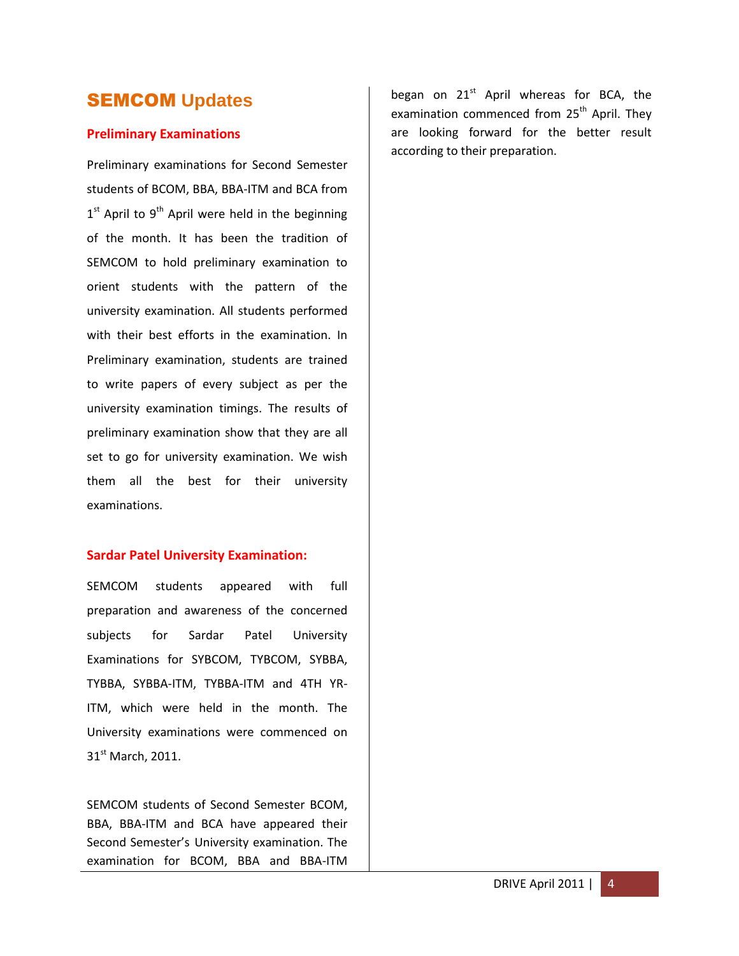## SEMCOM **Updates**

#### **Preliminary Examinations**

Preliminary examinations for Second Semester students of BCOM, BBA, BBA-ITM and BCA from 1<sup>st</sup> April to 9<sup>th</sup> April were held in the beginning of the month. It has been the tradition of SEMCOM to hold preliminary examination to orient students with the pattern of the university examination. All students performed with their best efforts in the examination. In Preliminary examination, students are trained to write papers of every subject as per the university examination timings. The results of preliminary examination show that they are all set to go for university examination. We wish them all the best for their university examinations.

#### **Sardar Patel University Examination:**

SEMCOM students appeared with full preparation and awareness of the concerned subjects for Sardar Patel University Examinations for SYBCOM, TYBCOM, SYBBA, TYBBA, SYBBA-ITM, TYBBA-ITM and 4TH YR-ITM, which were held in the month. The University examinations were commenced on 31<sup>st</sup> March, 2011.

SEMCOM students of Second Semester BCOM, BBA, BBA-ITM and BCA have appeared their Second Semester's University examination. The examination for BCOM, BBA and BBA-ITM began on  $21^{st}$  April whereas for BCA, the examination commenced from 25<sup>th</sup> April. Thev are looking forward for the better result according to their preparation.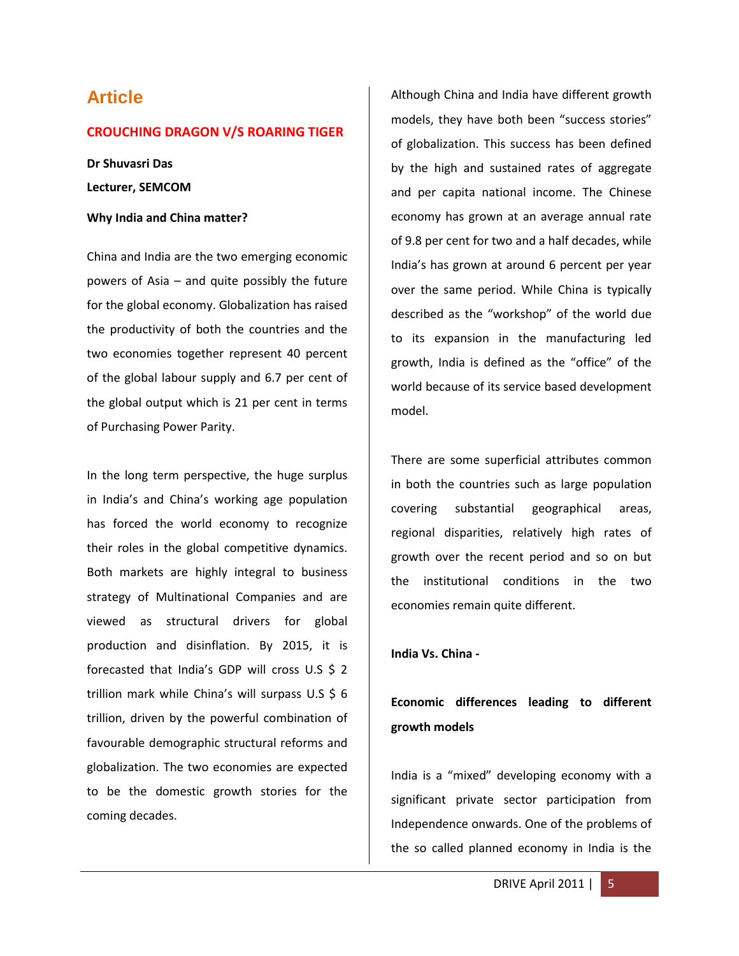## **Article**

#### **CROUCHING DRAGON V/S ROARING TIGER**

**Dr Shuvasri Das Lecturer, SEMCOM**

#### **Why India and China matter?**

China and India are the two emerging economic powers of Asia – and quite possibly the future for the global economy. Globalization has raised the productivity of both the countries and the two economies together represent 40 percent of the global labour supply and 6.7 per cent of the global output which is 21 per cent in terms of Purchasing Power Parity.

In the long term perspective, the huge surplus in India's and China's working age population has forced the world economy to recognize their roles in the global competitive dynamics. Both markets are highly integral to business strategy of Multinational Companies and are viewed as structural drivers for global production and disinflation. By 2015, it is forecasted that India's GDP will cross U.S \$ 2 trillion mark while China's will surpass U.S \$ 6 trillion, driven by the powerful combination of favourable demographic structural reforms and globalization. The two economies are expected to be the domestic growth stories for the coming decades.

Although China and India have different growth models, they have both been "success stories" of globalization. This success has been defined by the high and sustained rates of aggregate and per capita national income. The Chinese economy has grown at an average annual rate of 9.8 per cent for two and a half decades, while India's has grown at around 6 percent per year over the same period. While China is typically described as the "workshop" of the world due to its expansion in the manufacturing led growth, India is defined as the "office" of the world because of its service based development model.

There are some superficial attributes common in both the countries such as large population covering substantial geographical areas, regional disparities, relatively high rates of growth over the recent period and so on but the institutional conditions in the two economies remain quite different.

**India Vs. China -**

## **Economic differences leading to different growth models**

India is a "mixed" developing economy with a significant private sector participation from Independence onwards. One of the problems of the so called planned economy in India is the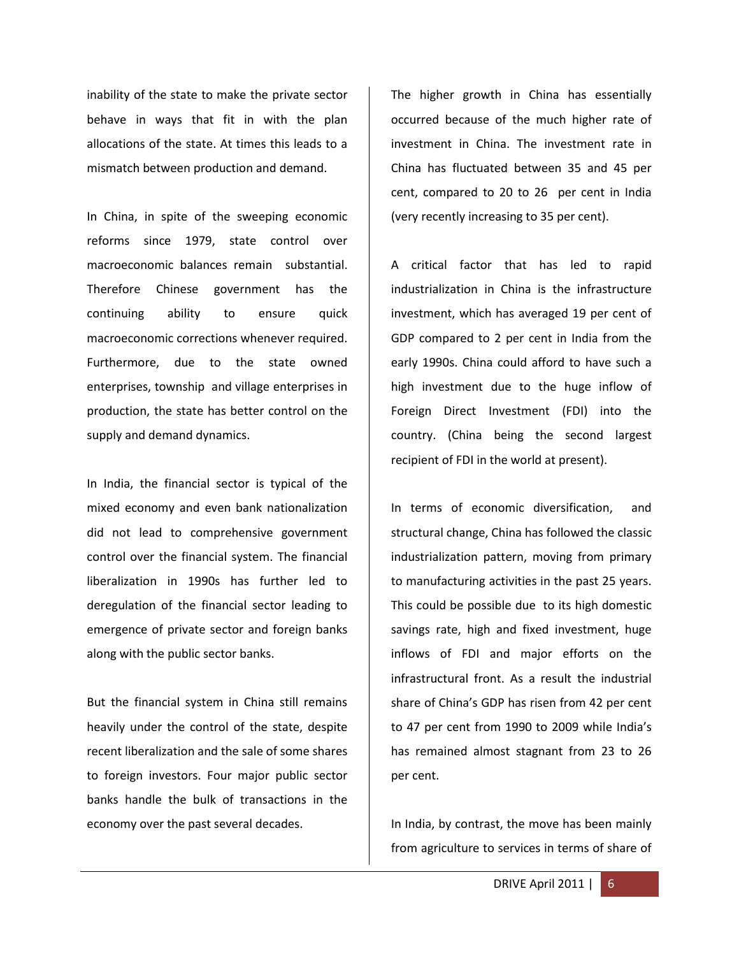inability of the state to make the private sector behave in ways that fit in with the plan allocations of the state. At times this leads to a mismatch between production and demand.

In China, in spite of the sweeping economic reforms since 1979, state control over macroeconomic balances remain substantial. Therefore Chinese government has the continuing ability to ensure quick macroeconomic corrections whenever required. Furthermore, due to the state owned enterprises, township and village enterprises in production, the state has better control on the supply and demand dynamics.

In India, the financial sector is typical of the mixed economy and even bank nationalization did not lead to comprehensive government control over the financial system. The financial liberalization in 1990s has further led to deregulation of the financial sector leading to emergence of private sector and foreign banks along with the public sector banks.

But the financial system in China still remains heavily under the control of the state, despite recent liberalization and the sale of some shares to foreign investors. Four major public sector banks handle the bulk of transactions in the economy over the past several decades.

The higher growth in China has essentially occurred because of the much higher rate of investment in China. The investment rate in China has fluctuated between 35 and 45 per cent, compared to 20 to 26 per cent in India (very recently increasing to 35 per cent).

A critical factor that has led to rapid industrialization in China is the infrastructure investment, which has averaged 19 per cent of GDP compared to 2 per cent in India from the early 1990s. China could afford to have such a high investment due to the huge inflow of Foreign Direct Investment (FDI) into the country. (China being the second largest recipient of FDI in the world at present).

In terms of economic diversification, and structural change, China has followed the classic industrialization pattern, moving from primary to manufacturing activities in the past 25 years. This could be possible due to its high domestic savings rate, high and fixed investment, huge inflows of FDI and major efforts on the infrastructural front. As a result the industrial share of China's GDP has risen from 42 per cent to 47 per cent from 1990 to 2009 while India's has remained almost stagnant from 23 to 26 per cent.

In India, by contrast, the move has been mainly from agriculture to services in terms of share of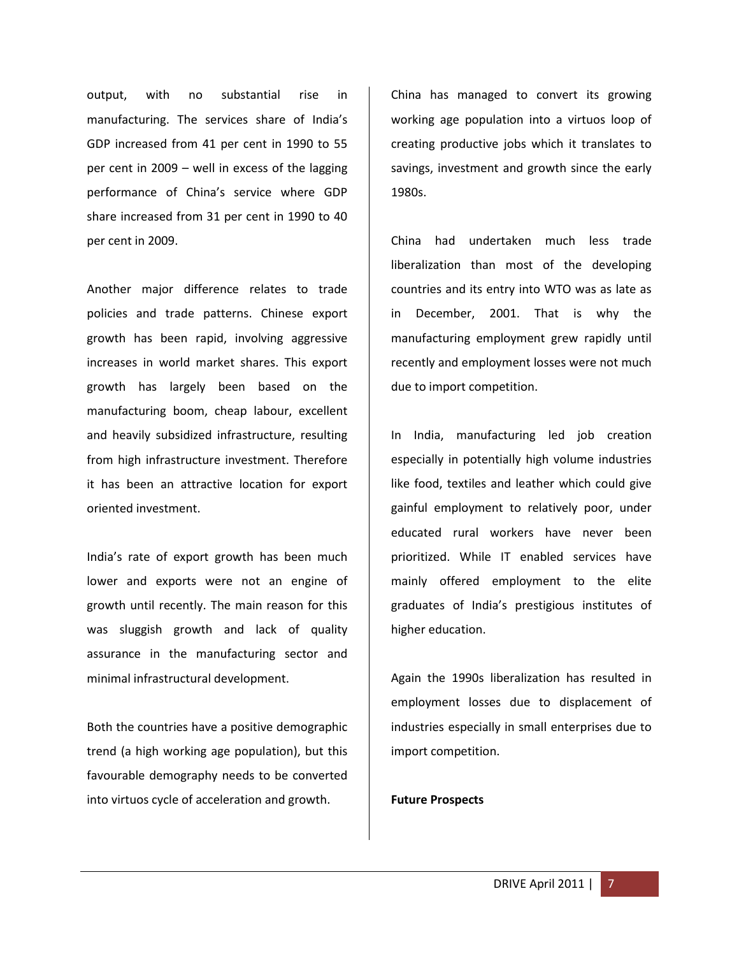output, with no substantial rise in manufacturing. The services share of India's GDP increased from 41 per cent in 1990 to 55 per cent in 2009 – well in excess of the lagging performance of China's service where GDP share increased from 31 per cent in 1990 to 40 per cent in 2009.

Another major difference relates to trade policies and trade patterns. Chinese export growth has been rapid, involving aggressive increases in world market shares. This export growth has largely been based on the manufacturing boom, cheap labour, excellent and heavily subsidized infrastructure, resulting from high infrastructure investment. Therefore it has been an attractive location for export oriented investment.

India's rate of export growth has been much lower and exports were not an engine of growth until recently. The main reason for this was sluggish growth and lack of quality assurance in the manufacturing sector and minimal infrastructural development.

Both the countries have a positive demographic trend (a high working age population), but this favourable demography needs to be converted into virtuos cycle of acceleration and growth.

China has managed to convert its growing working age population into a virtuos loop of creating productive jobs which it translates to savings, investment and growth since the early 1980s.

China had undertaken much less trade liberalization than most of the developing countries and its entry into WTO was as late as in December, 2001. That is why the manufacturing employment grew rapidly until recently and employment losses were not much due to import competition.

In India, manufacturing led job creation especially in potentially high volume industries like food, textiles and leather which could give gainful employment to relatively poor, under educated rural workers have never been prioritized. While IT enabled services have mainly offered employment to the elite graduates of India's prestigious institutes of higher education.

Again the 1990s liberalization has resulted in employment losses due to displacement of industries especially in small enterprises due to import competition.

#### **Future Prospects**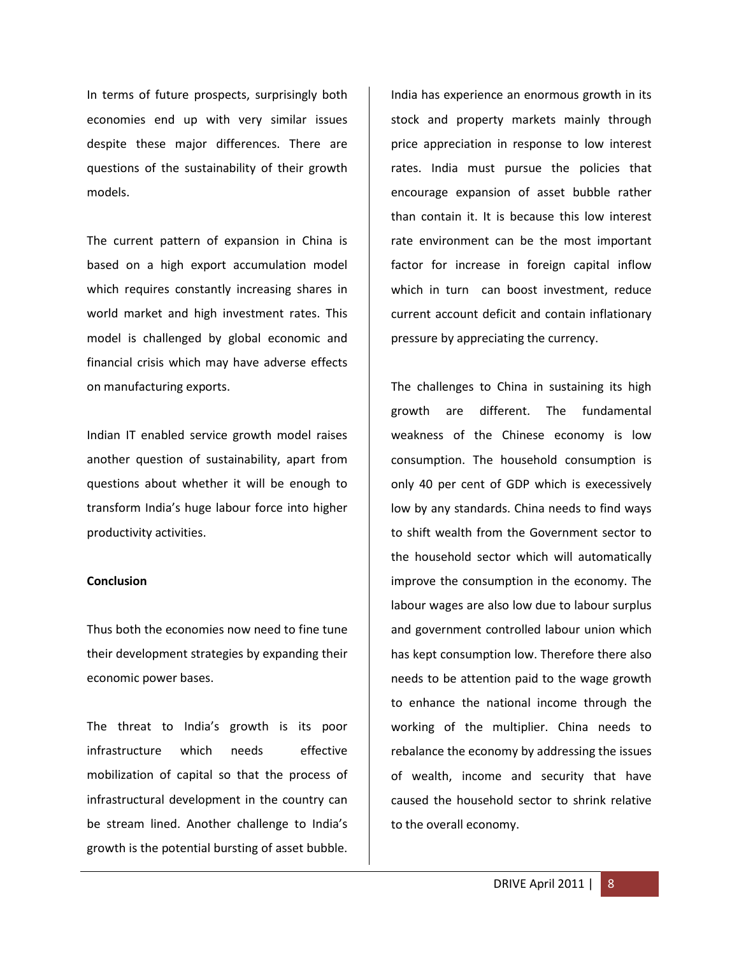In terms of future prospects, surprisingly both economies end up with very similar issues despite these major differences. There are questions of the sustainability of their growth models.

The current pattern of expansion in China is based on a high export accumulation model which requires constantly increasing shares in world market and high investment rates. This model is challenged by global economic and financial crisis which may have adverse effects on manufacturing exports.

Indian IT enabled service growth model raises another question of sustainability, apart from questions about whether it will be enough to transform India's huge labour force into higher productivity activities.

#### **Conclusion**

Thus both the economies now need to fine tune their development strategies by expanding their economic power bases.

The threat to India's growth is its poor infrastructure which needs effective mobilization of capital so that the process of infrastructural development in the country can be stream lined. Another challenge to India's growth is the potential bursting of asset bubble.

India has experience an enormous growth in its stock and property markets mainly through price appreciation in response to low interest rates. India must pursue the policies that encourage expansion of asset bubble rather than contain it. It is because this low interest rate environment can be the most important factor for increase in foreign capital inflow which in turn can boost investment, reduce current account deficit and contain inflationary pressure by appreciating the currency.

The challenges to China in sustaining its high growth are different. The fundamental weakness of the Chinese economy is low consumption. The household consumption is only 40 per cent of GDP which is execessively low by any standards. China needs to find ways to shift wealth from the Government sector to the household sector which will automatically improve the consumption in the economy. The labour wages are also low due to labour surplus and government controlled labour union which has kept consumption low. Therefore there also needs to be attention paid to the wage growth to enhance the national income through the working of the multiplier. China needs to rebalance the economy by addressing the issues of wealth, income and security that have caused the household sector to shrink relative to the overall economy.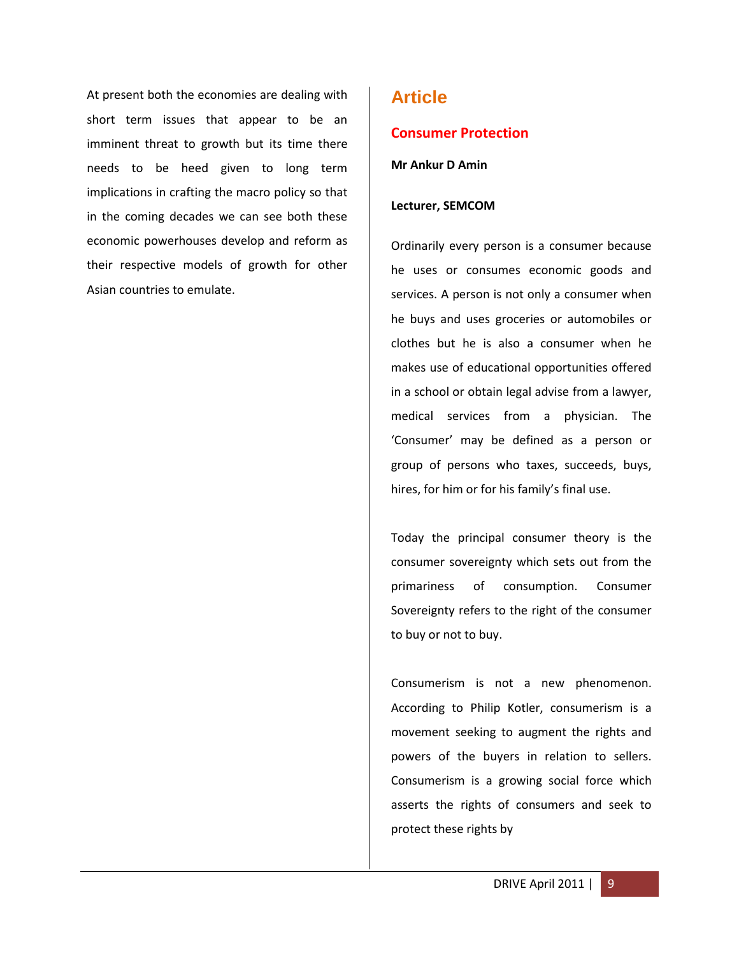At present both the economies are dealing with short term issues that appear to be an imminent threat to growth but its time there needs to be heed given to long term implications in crafting the macro policy so that in the coming decades we can see both these economic powerhouses develop and reform as their respective models of growth for other Asian countries to emulate.

## **Article**

#### **Consumer Protection**

**Mr Ankur D Amin**

#### **Lecturer, SEMCOM**

Ordinarily every person is a consumer because he uses or consumes economic goods and services. A person is not only a consumer when he buys and uses groceries or automobiles or clothes but he is also a consumer when he makes use of educational opportunities offered in a school or obtain legal advise from a lawyer, medical services from a physician. The 'Consumer' may be defined as a person or group of persons who taxes, succeeds, buys, hires, for him or for his family's final use.

Today the principal consumer theory is the consumer sovereignty which sets out from the primariness of consumption. Consumer Sovereignty refers to the right of the consumer to buy or not to buy.

Consumerism is not a new phenomenon. According to Philip Kotler, consumerism is a movement seeking to augment the rights and powers of the buyers in relation to sellers. Consumerism is a growing social force which asserts the rights of consumers and seek to protect these rights by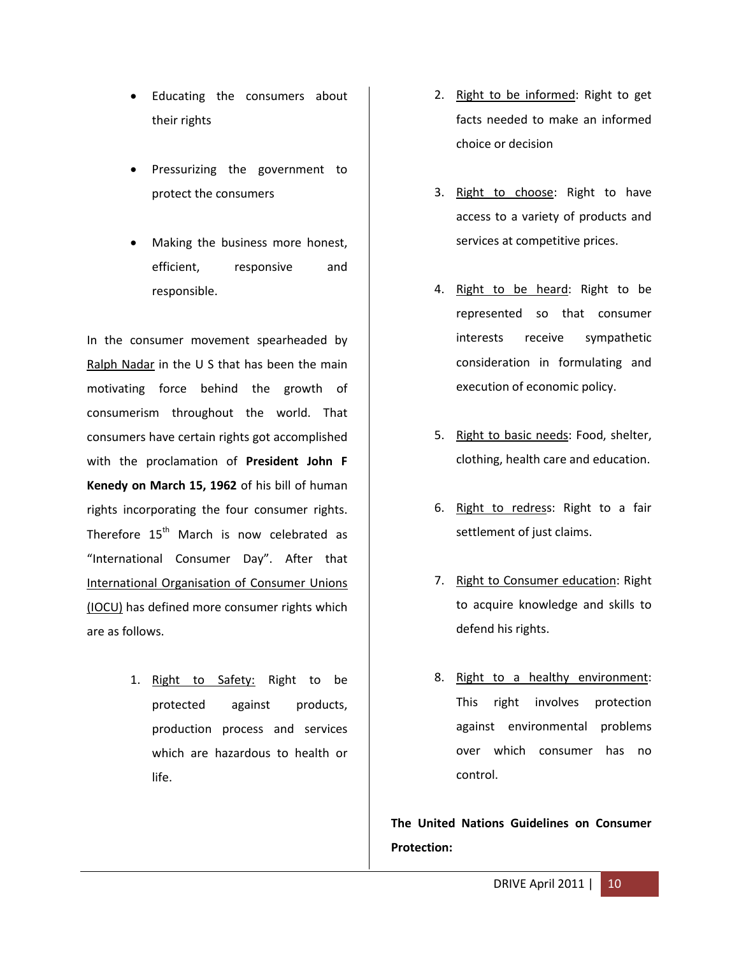- Educating the consumers about their rights
- Pressurizing the government to protect the consumers
- Making the business more honest, efficient, responsive and responsible.

In the consumer movement spearheaded by Ralph Nadar in the U S that has been the main motivating force behind the growth of consumerism throughout the world. That consumers have certain rights got accomplished with the proclamation of **President John F Kenedy on March 15, 1962** of his bill of human rights incorporating the four consumer rights. Therefore 15<sup>th</sup> March is now celebrated as "International Consumer Day". After that International Organisation of Consumer Unions (IOCU) has defined more consumer rights which are as follows.

> 1. Right to Safety: Right to be protected against products, production process and services which are hazardous to health or life.

- 2. Right to be informed: Right to get facts needed to make an informed choice or decision
- 3. Right to choose: Right to have access to a variety of products and services at competitive prices.
- 4. Right to be heard: Right to be represented so that consumer interests receive sympathetic consideration in formulating and execution of economic policy.
- 5. Right to basic needs: Food, shelter, clothing, health care and education.
- 6. Right to redress: Right to a fair settlement of just claims.
- 7. Right to Consumer education: Right to acquire knowledge and skills to defend his rights.
- 8. Right to a healthy environment: This right involves protection against environmental problems over which consumer has no control.

**The United Nations Guidelines on Consumer Protection:**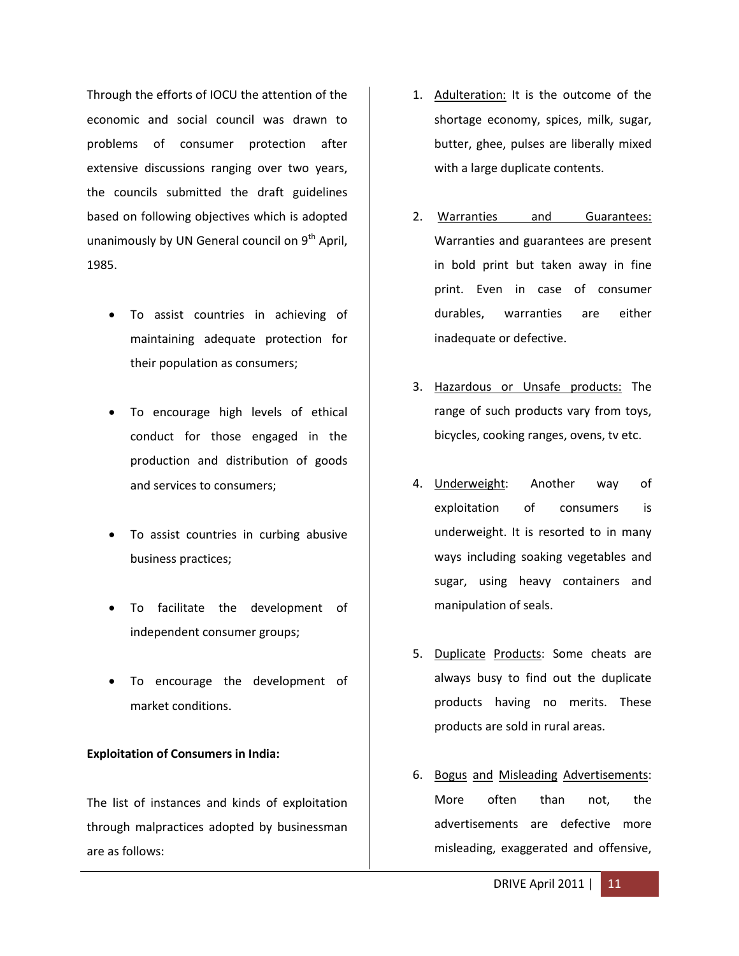Through the efforts of IOCU the attention of the economic and social council was drawn to problems of consumer protection after extensive discussions ranging over two years, the councils submitted the draft guidelines based on following objectives which is adopted unanimously by UN General council on  $9<sup>th</sup>$  April, 1985.

- To assist countries in achieving of maintaining adequate protection for their population as consumers;
- To encourage high levels of ethical conduct for those engaged in the production and distribution of goods and services to consumers;
- To assist countries in curbing abusive business practices;
- To facilitate the development of independent consumer groups;
- To encourage the development of market conditions.

#### **Exploitation of Consumers in India:**

The list of instances and kinds of exploitation through malpractices adopted by businessman are as follows:

- 1. Adulteration: It is the outcome of the shortage economy, spices, milk, sugar, butter, ghee, pulses are liberally mixed with a large duplicate contents.
- 2. Warranties and Guarantees: Warranties and guarantees are present in bold print but taken away in fine print. Even in case of consumer durables, warranties are either inadequate or defective.
- 3. Hazardous or Unsafe products: The range of such products vary from toys, bicycles, cooking ranges, ovens, tv etc.
- 4. Underweight: Another way of exploitation of consumers is underweight. It is resorted to in many ways including soaking vegetables and sugar, using heavy containers and manipulation of seals.
- 5. Duplicate Products: Some cheats are always busy to find out the duplicate products having no merits. These products are sold in rural areas.
- 6. Bogus and Misleading Advertisements: More often than not, the advertisements are defective more misleading, exaggerated and offensive,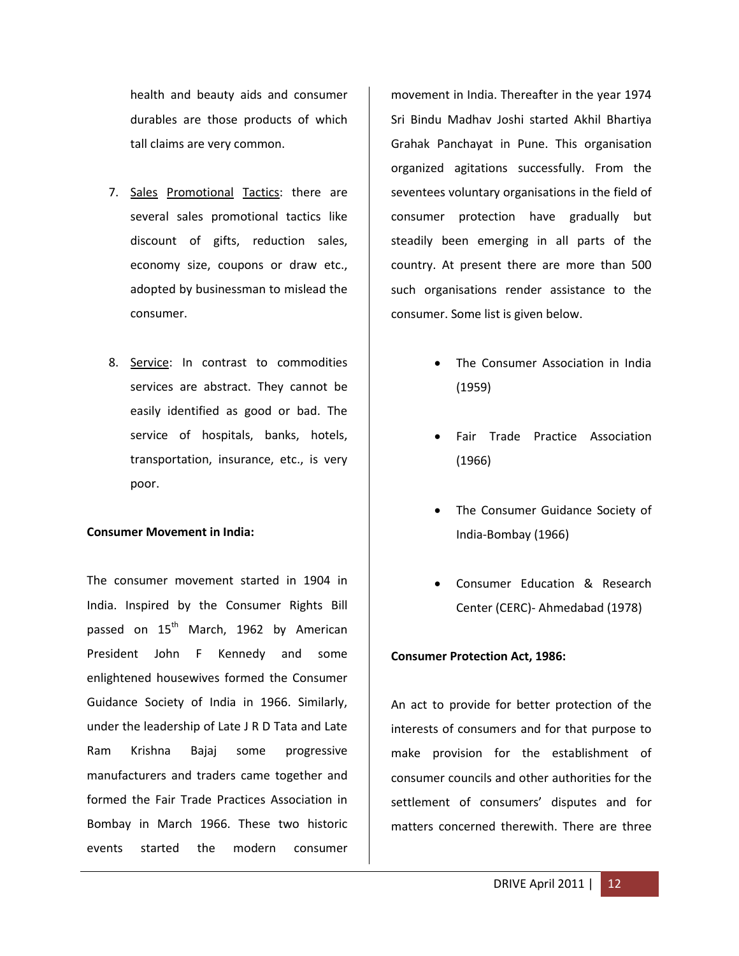health and beauty aids and consumer durables are those products of which tall claims are very common.

- 7. Sales Promotional Tactics: there are several sales promotional tactics like discount of gifts, reduction sales, economy size, coupons or draw etc., adopted by businessman to mislead the consumer.
- 8. Service: In contrast to commodities services are abstract. They cannot be easily identified as good or bad. The service of hospitals, banks, hotels, transportation, insurance, etc., is very poor.

#### **Consumer Movement in India:**

The consumer movement started in 1904 in India. Inspired by the Consumer Rights Bill passed on  $15<sup>th</sup>$  March, 1962 by American President John F Kennedy and some enlightened housewives formed the Consumer Guidance Society of India in 1966. Similarly, under the leadership of Late J R D Tata and Late Ram Krishna Bajaj some progressive manufacturers and traders came together and formed the Fair Trade Practices Association in Bombay in March 1966. These two historic events started the modern consumer

movement in India. Thereafter in the year 1974 Sri Bindu Madhav Joshi started Akhil Bhartiya Grahak Panchayat in Pune. This organisation organized agitations successfully. From the seventees voluntary organisations in the field of consumer protection have gradually but steadily been emerging in all parts of the country. At present there are more than 500 such organisations render assistance to the consumer. Some list is given below.

- The Consumer Association in India (1959)
- Fair Trade Practice Association (1966)
- The Consumer Guidance Society of India-Bombay (1966)
- Consumer Education & Research Center (CERC)- Ahmedabad (1978)

#### **Consumer Protection Act, 1986:**

An act to provide for better protection of the interests of consumers and for that purpose to make provision for the establishment of consumer councils and other authorities for the settlement of consumers' disputes and for matters concerned therewith. There are three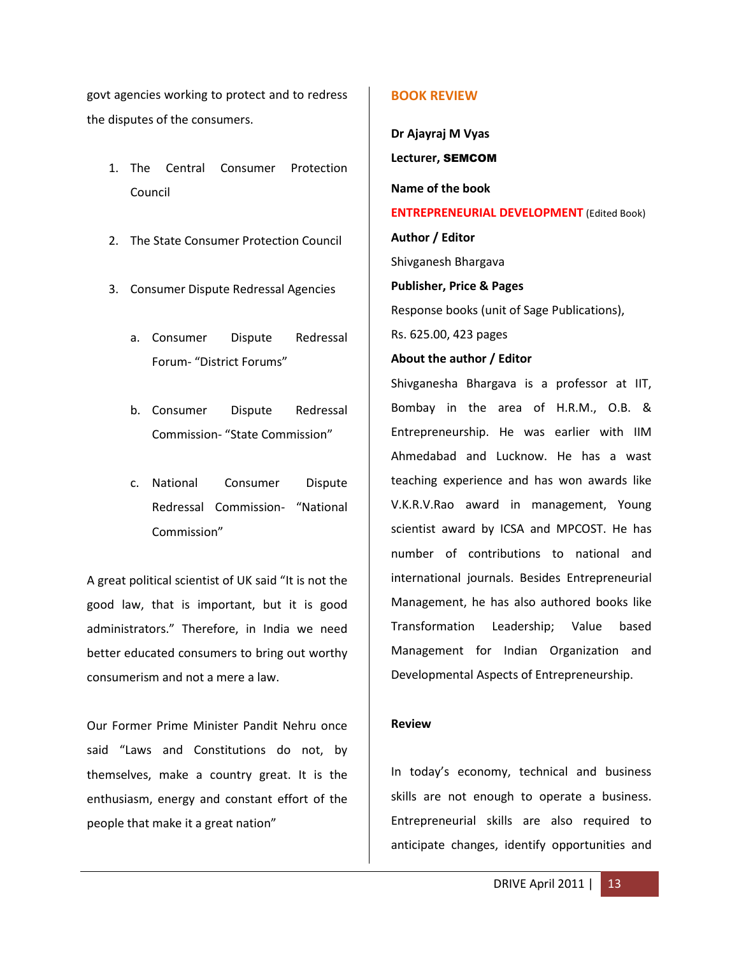govt agencies working to protect and to redress the disputes of the consumers.

- 1. The Central Consumer Protection Council
- 2. The State Consumer Protection Council
- 3. Consumer Dispute Redressal Agencies
	- a. Consumer Dispute Redressal Forum- "District Forums"
	- b. Consumer Dispute Redressal Commission- "State Commission"
	- c. National Consumer Dispute Redressal Commission- "National Commission"

A great political scientist of UK said "It is not the good law, that is important, but it is good administrators." Therefore, in India we need better educated consumers to bring out worthy consumerism and not a mere a law.

Our Former Prime Minister Pandit Nehru once said "Laws and Constitutions do not, by themselves, make a country great. It is the enthusiasm, energy and constant effort of the people that make it a great nation"

#### **BOOK REVIEW**

**Dr Ajayraj M Vyas Lecturer,** SEMCOM **Name of the book ENTREPRENEURIAL DEVELOPMENT** (Edited Book) **Author / Editor** Shivganesh Bhargava **Publisher, Price & Pages** Response books (unit of Sage Publications), Rs. 625.00, 423 pages **About the author / Editor** Shivganesha Bhargava is a professor at IIT, Bombay in the area of H.R.M., O.B. & Entrepreneurship. He was earlier with IIM Ahmedabad and Lucknow. He has a wast teaching experience and has won awards like V.K.R.V.Rao award in management, Young scientist award by ICSA and MPCOST. He has number of contributions to national and international journals. Besides Entrepreneurial Management, he has also authored books like Transformation Leadership; Value based Management for Indian Organization and

#### **Review**

In today's economy, technical and business skills are not enough to operate a business. Entrepreneurial skills are also required to anticipate changes, identify opportunities and

Developmental Aspects of Entrepreneurship.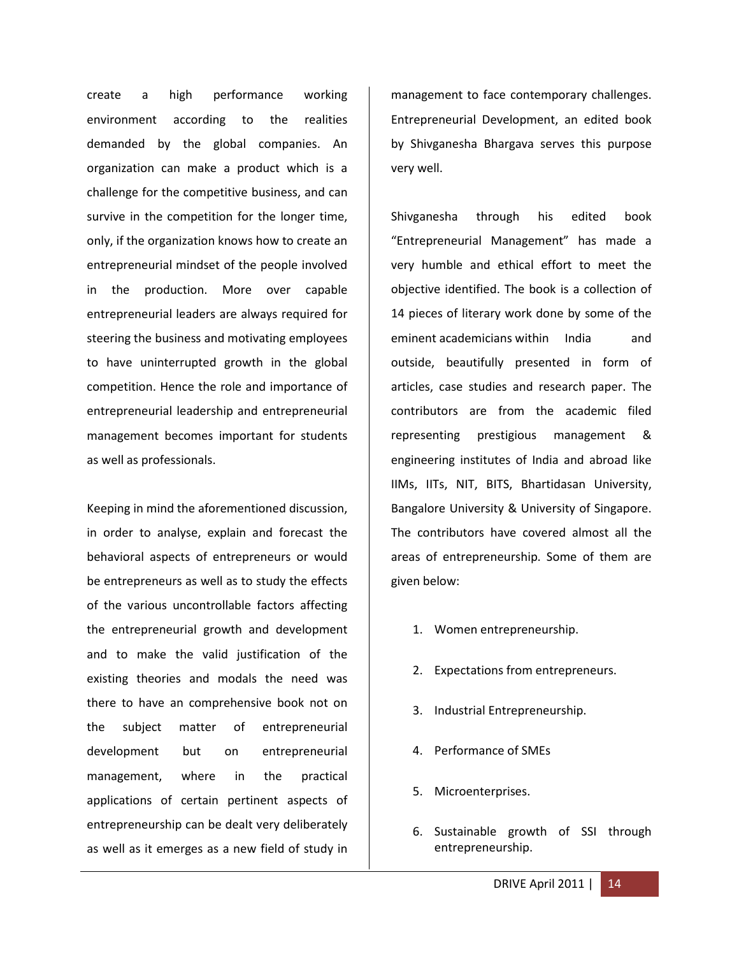create a high performance working environment according to the realities demanded by the global companies. An organization can make a product which is a challenge for the competitive business, and can survive in the competition for the longer time, only, if the organization knows how to create an entrepreneurial mindset of the people involved in the production. More over capable entrepreneurial leaders are always required for steering the business and motivating employees to have uninterrupted growth in the global competition. Hence the role and importance of entrepreneurial leadership and entrepreneurial management becomes important for students as well as professionals.

Keeping in mind the aforementioned discussion, in order to analyse, explain and forecast the behavioral aspects of entrepreneurs or would be entrepreneurs as well as to study the effects of the various uncontrollable factors affecting the entrepreneurial growth and development and to make the valid justification of the existing theories and modals the need was there to have an comprehensive book not on the subject matter of entrepreneurial development but on entrepreneurial management, where in the practical applications of certain pertinent aspects of entrepreneurship can be dealt very deliberately as well as it emerges as a new field of study in

management to face contemporary challenges. Entrepreneurial Development, an edited book by Shivganesha Bhargava serves this purpose very well.

Shivganesha through his edited book "Entrepreneurial Management" has made a very humble and ethical effort to meet the objective identified. The book is a collection of 14 pieces of literary work done by some of the eminent academicians within India and outside, beautifully presented in form of articles, case studies and research paper. The contributors are from the academic filed representing prestigious management & engineering institutes of India and abroad like IIMs, IITs, NIT, BITS, Bhartidasan University, Bangalore University & University of Singapore. The contributors have covered almost all the areas of entrepreneurship. Some of them are given below:

- 1. Women entrepreneurship.
- 2. Expectations from entrepreneurs.
- 3. Industrial Entrepreneurship.
- 4. Performance of SMEs
- 5. Microenterprises.
- 6. Sustainable growth of SSI through entrepreneurship.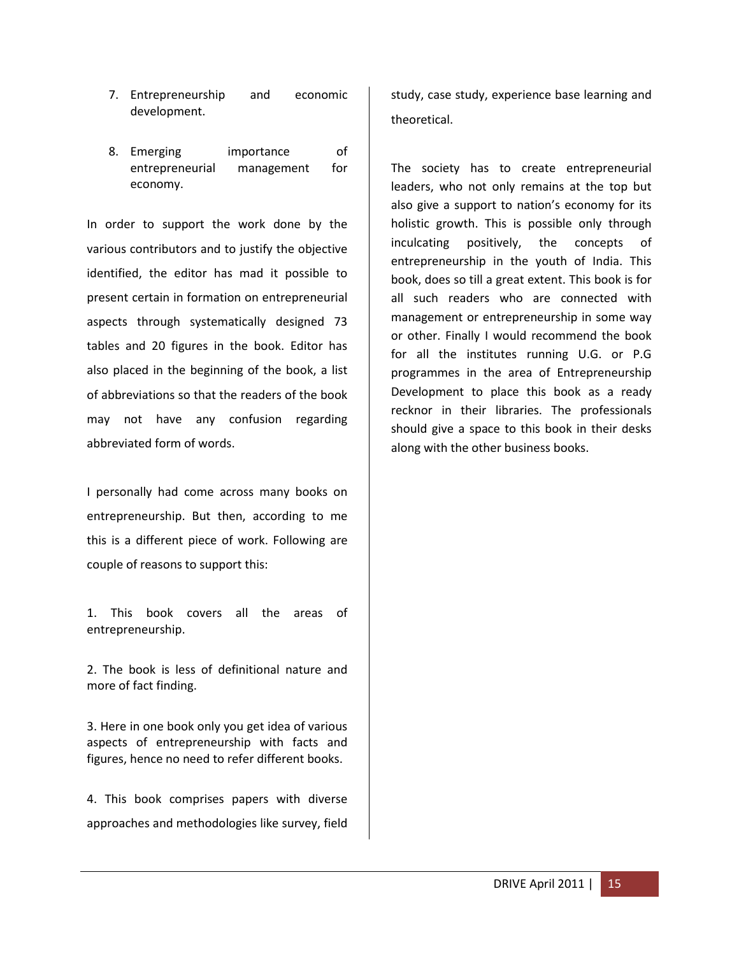- 7. Entrepreneurship and economic development.
- 8. Emerging importance of entrepreneurial management for economy.

In order to support the work done by the various contributors and to justify the objective identified, the editor has mad it possible to present certain in formation on entrepreneurial aspects through systematically designed 73 tables and 20 figures in the book. Editor has also placed in the beginning of the book, a list of abbreviations so that the readers of the book may not have any confusion regarding abbreviated form of words.

I personally had come across many books on entrepreneurship. But then, according to me this is a different piece of work. Following are couple of reasons to support this:

1. This book covers all the areas of entrepreneurship.

2. The book is less of definitional nature and more of fact finding.

3. Here in one book only you get idea of various aspects of entrepreneurship with facts and figures, hence no need to refer different books.

4. This book comprises papers with diverse approaches and methodologies like survey, field

study, case study, experience base learning and theoretical.

The society has to create entrepreneurial leaders, who not only remains at the top but also give a support to nation's economy for its holistic growth. This is possible only through inculcating positively, the concepts of entrepreneurship in the youth of India. This book, does so till a great extent. This book is for all such readers who are connected with management or entrepreneurship in some way or other. Finally I would recommend the book for all the institutes running U.G. or P.G programmes in the area of Entrepreneurship Development to place this book as a ready recknor in their libraries. The professionals should give a space to this book in their desks along with the other business books.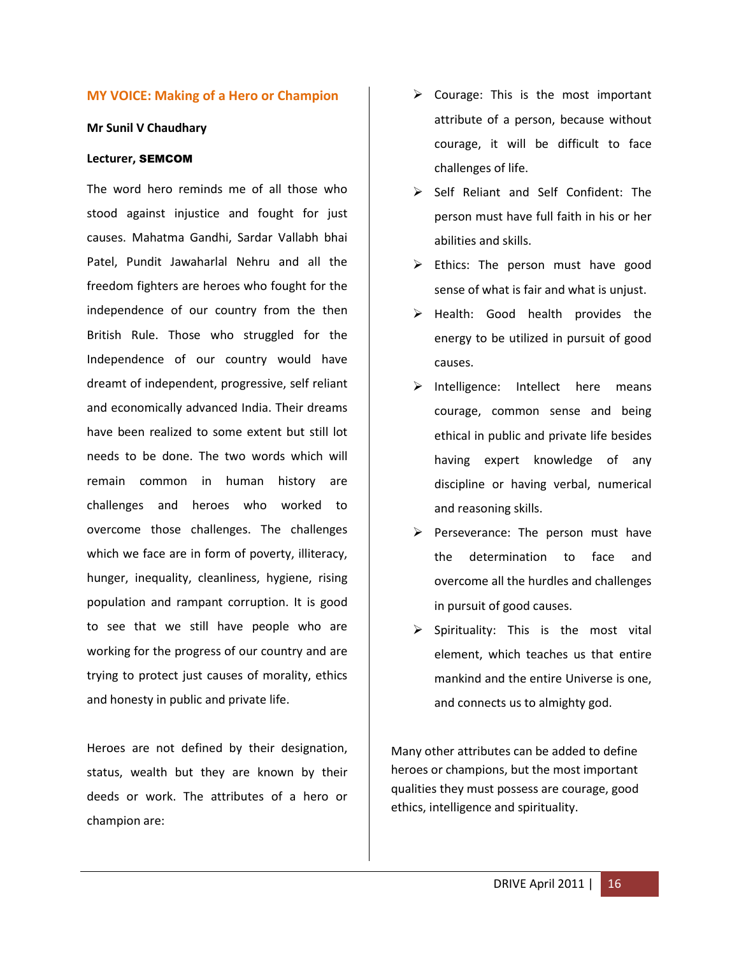#### **MY VOICE: Making of a Hero or Champion**

#### **Mr Sunil V Chaudhary**

#### **Lecturer,** SEMCOM

The word hero reminds me of all those who stood against injustice and fought for just causes. Mahatma Gandhi, Sardar Vallabh bhai Patel, Pundit Jawaharlal Nehru and all the freedom fighters are heroes who fought for the independence of our country from the then British Rule. Those who struggled for the Independence of our country would have dreamt of independent, progressive, self reliant and economically advanced India. Their dreams have been realized to some extent but still lot needs to be done. The two words which will remain common in human history are challenges and heroes who worked to overcome those challenges. The challenges which we face are in form of poverty, illiteracy, hunger, inequality, cleanliness, hygiene, rising population and rampant corruption. It is good to see that we still have people who are working for the progress of our country and are trying to protect just causes of morality, ethics and honesty in public and private life.

Heroes are not defined by their designation, status, wealth but they are known by their deeds or work. The attributes of a hero or champion are:

- $\triangleright$  Courage: This is the most important attribute of a person, because without courage, it will be difficult to face challenges of life.
- Self Reliant and Self Confident: The person must have full faith in his or her abilities and skills.
- $\triangleright$  Ethics: The person must have good sense of what is fair and what is unjust.
- $\triangleright$  Health: Good health provides the energy to be utilized in pursuit of good causes.
- $\triangleright$  Intelligence: Intellect here means courage, common sense and being ethical in public and private life besides having expert knowledge of any discipline or having verbal, numerical and reasoning skills.
- Perseverance: The person must have the determination to face and overcome all the hurdles and challenges in pursuit of good causes.
- $\triangleright$  Spirituality: This is the most vital element, which teaches us that entire mankind and the entire Universe is one, and connects us to almighty god.

Many other attributes can be added to define heroes or champions, but the most important qualities they must possess are courage, good ethics, intelligence and spirituality.